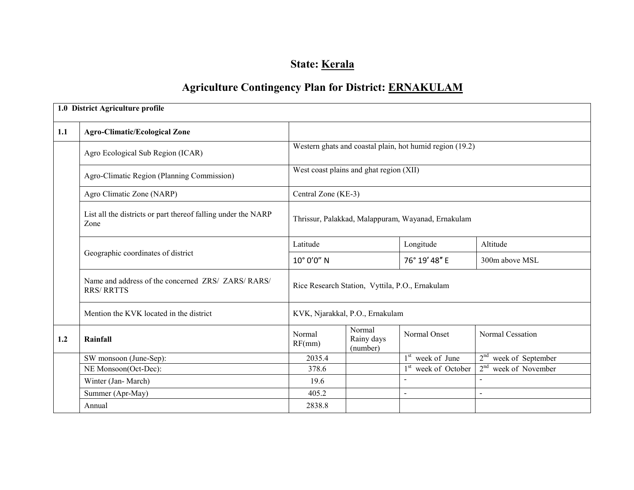# State: Kerala

# Agriculture Contingency Plan for District: ERNAKULAM

|     | 1.0 District Agriculture profile                                        |                                                    |                                         |                                                          |                                     |  |  |
|-----|-------------------------------------------------------------------------|----------------------------------------------------|-----------------------------------------|----------------------------------------------------------|-------------------------------------|--|--|
| 1.1 | <b>Agro-Climatic/Ecological Zone</b>                                    |                                                    |                                         |                                                          |                                     |  |  |
|     | Agro Ecological Sub Region (ICAR)                                       |                                                    |                                         | Western ghats and coastal plain, hot humid region (19.2) |                                     |  |  |
|     | Agro-Climatic Region (Planning Commission)                              |                                                    | West coast plains and ghat region (XII) |                                                          |                                     |  |  |
|     | Agro Climatic Zone (NARP)                                               | Central Zone (KE-3)                                |                                         |                                                          |                                     |  |  |
|     | List all the districts or part thereof falling under the NARP<br>Zone   | Thrissur, Palakkad, Malappuram, Wayanad, Ernakulam |                                         |                                                          |                                     |  |  |
|     |                                                                         | Latitude                                           |                                         | Longitude                                                | Altitude                            |  |  |
|     | Geographic coordinates of district                                      | 10° 0'0" N                                         |                                         | 76° 19' 48" E                                            | 300m above MSL                      |  |  |
|     | Name and address of the concerned ZRS/ ZARS/ RARS/<br><b>RRS/ RRTTS</b> | Rice Research Station, Vyttila, P.O., Ernakulam    |                                         |                                                          |                                     |  |  |
|     | Mention the KVK located in the district                                 |                                                    | KVK, Njarakkal, P.O., Ernakulam         |                                                          |                                     |  |  |
| 1.2 | Rainfall                                                                | Normal<br>RF(mm)                                   | Normal<br>Rainy days<br>(number)        | Normal Onset                                             | Normal Cessation                    |  |  |
|     | SW monsoon (June-Sep):                                                  | 2035.4                                             |                                         | $1st$ week of June                                       | $2nd$ week of September             |  |  |
|     | NE Monsoon(Oct-Dec):                                                    | 378.6                                              |                                         | 1 <sup>st</sup> week of October                          | 2 <sup>nd</sup><br>week of November |  |  |
|     | Winter (Jan-March)                                                      | 19.6                                               |                                         |                                                          |                                     |  |  |
|     | Summer (Apr-May)                                                        | 405.2                                              |                                         | $\overline{a}$                                           | $\sim$                              |  |  |
|     | Annual                                                                  | 2838.8                                             |                                         |                                                          |                                     |  |  |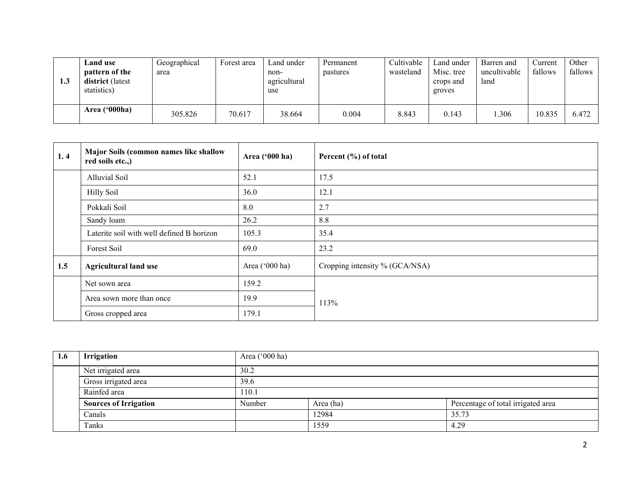| 1.3 | <b>Land use</b><br>pattern of the<br>district (latest<br>statistics) | Geographical<br>area | Forest area | Land under<br>non-<br>agricultural<br>use | Permanent<br>pastures | Cultivable<br>wasteland | Land under<br>Misc. tree<br>crops and<br>groves | Barren and<br>uncultivable<br>land | Current<br>fallows | Other<br>fallows |
|-----|----------------------------------------------------------------------|----------------------|-------------|-------------------------------------------|-----------------------|-------------------------|-------------------------------------------------|------------------------------------|--------------------|------------------|
|     | Area ('000ha)                                                        | 305.826              | 70.617      | 38.664                                    | 0.004                 | 8.843                   | 0.143                                           | .306                               | 10.835             | 6.472            |

| 1, 4 | Major Soils (common names like shallow<br>red soils etc.,) | Area ('000 ha) | Percent (%) of total           |  |  |
|------|------------------------------------------------------------|----------------|--------------------------------|--|--|
|      | Alluvial Soil                                              | 52.1           | 17.5                           |  |  |
|      | <b>Hilly Soil</b>                                          | 36.0           | 12.1                           |  |  |
|      | Pokkali Soil                                               | 8.0            | 2.7                            |  |  |
|      | Sandy loam                                                 | 26.2           | 8.8                            |  |  |
|      | Laterite soil with well defined B horizon                  | 105.3          | 35.4                           |  |  |
|      | Forest Soil                                                | 69.0           | 23.2                           |  |  |
| 1.5  | <b>Agricultural land use</b>                               | Area ('000 ha) | Cropping intensity % (GCA/NSA) |  |  |
|      | Net sown area                                              | 159.2          |                                |  |  |
|      | Area sown more than once                                   | 19.9           | 113%                           |  |  |
|      | Gross cropped area                                         | 179.1          |                                |  |  |

| 1.6 | <b>Irrigation</b>            | Area ('000 ha) |           |                                    |  |  |  |
|-----|------------------------------|----------------|-----------|------------------------------------|--|--|--|
|     | Net irrigated area           | 30.2           |           |                                    |  |  |  |
|     | Gross irrigated area         | 39.6           |           |                                    |  |  |  |
|     | Rainfed area                 | 110.1          |           |                                    |  |  |  |
|     | <b>Sources of Irrigation</b> | Number         | Area (ha) | Percentage of total irrigated area |  |  |  |
|     | Canals                       |                | 12984     | 35.73                              |  |  |  |
|     | Tanks                        |                | 1559      | 4.29                               |  |  |  |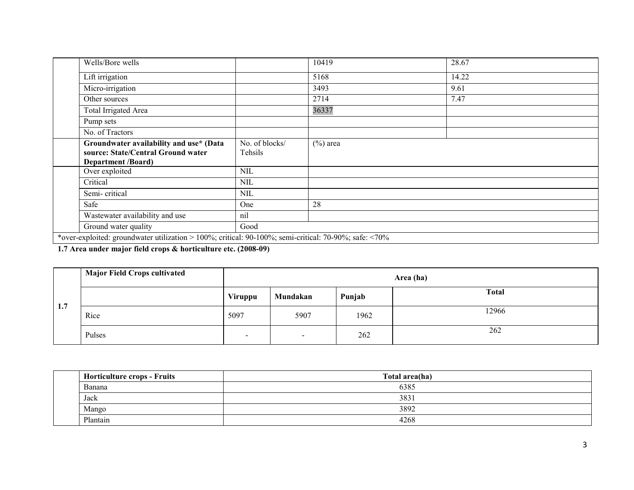|                           | 10419       | 28.67 |  |  |
|---------------------------|-------------|-------|--|--|
|                           | 5168        | 14.22 |  |  |
|                           | 3493        | 9.61  |  |  |
|                           | 2714        | 7.47  |  |  |
|                           | 36337       |       |  |  |
|                           |             |       |  |  |
|                           |             |       |  |  |
| No. of blocks/<br>Tehsils | $(\%)$ area |       |  |  |
| <b>NIL</b>                |             |       |  |  |
| NIL                       |             |       |  |  |
| <b>NIL</b>                |             |       |  |  |
| One                       | 28          |       |  |  |
| nil                       |             |       |  |  |
| Good                      |             |       |  |  |
|                           |             |       |  |  |

1.7 Area under major field crops & horticulture etc. (2008-09)

|     | <b>Major Field Crops cultivated</b> | Area (ha)                |                |        |              |  |  |  |
|-----|-------------------------------------|--------------------------|----------------|--------|--------------|--|--|--|
| 1.7 |                                     | Viruppu                  | Mundakan       | Punjab | <b>Total</b> |  |  |  |
|     | Rice                                | 5097                     | 5907           | 1962   | 12966        |  |  |  |
|     | Pulses                              | $\overline{\phantom{a}}$ | $\blacksquare$ | 262    | 262          |  |  |  |

| <b>Horticulture crops - Fruits</b> | Total area(ha) |
|------------------------------------|----------------|
| Banana                             | 6385           |
| Jack                               | 3831           |
| Mango                              | 3892           |
| Plantain                           | 4268           |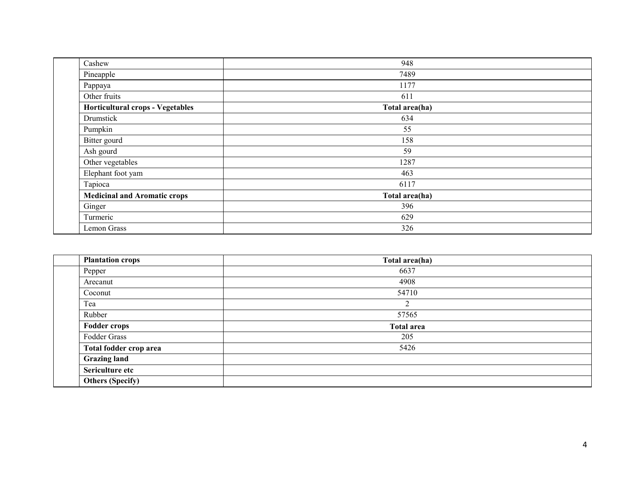| 948            |  |
|----------------|--|
| 7489           |  |
| 1177           |  |
| 611            |  |
| Total area(ha) |  |
| 634            |  |
| 55             |  |
| 158            |  |
| 59             |  |
| 1287           |  |
| 463            |  |
| 6117           |  |
| Total area(ha) |  |
| 396            |  |
| 629            |  |
| 326            |  |
|                |  |

| <b>Plantation crops</b> | Total area(ha)    |
|-------------------------|-------------------|
| Pepper                  | 6637              |
| Arecanut                | 4908              |
| Coconut                 | 54710             |
| Tea                     | ◠                 |
| Rubber                  | 57565             |
| <b>Fodder crops</b>     | <b>Total area</b> |
| Fodder Grass            | 205               |
| Total fodder crop area  | 5426              |
| <b>Grazing land</b>     |                   |
| Sericulture etc         |                   |
| <b>Others (Specify)</b> |                   |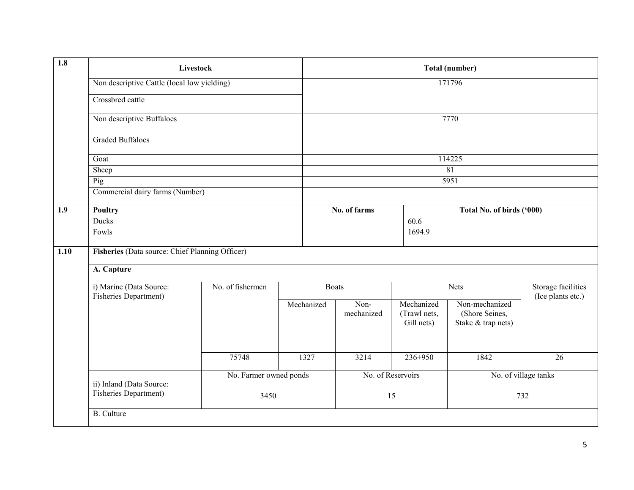| $\overline{1.8}$ |                                                  | <b>Livestock</b> |                        | Total (number)     |                                          |                                                        |                                                |  |
|------------------|--------------------------------------------------|------------------|------------------------|--------------------|------------------------------------------|--------------------------------------------------------|------------------------------------------------|--|
|                  | Non descriptive Cattle (local low yielding)      |                  |                        |                    | 171796                                   |                                                        |                                                |  |
|                  | Crossbred cattle                                 |                  |                        |                    |                                          |                                                        |                                                |  |
|                  | Non descriptive Buffaloes                        |                  |                        |                    |                                          | 7770                                                   |                                                |  |
|                  | <b>Graded Buffaloes</b>                          |                  |                        |                    |                                          |                                                        |                                                |  |
|                  | Goat                                             |                  |                        |                    | 114225                                   |                                                        |                                                |  |
|                  | Sheep                                            |                  |                        |                    | $\overline{81}$                          |                                                        |                                                |  |
|                  | Pig                                              |                  |                        |                    | 5951                                     |                                                        |                                                |  |
|                  | Commercial dairy farms (Number)                  |                  |                        |                    |                                          |                                                        |                                                |  |
| 1.9              | Poultry                                          |                  |                        | No. of farms       |                                          | Total No. of birds ('000)                              |                                                |  |
|                  | Ducks                                            |                  | 60.6                   |                    |                                          |                                                        |                                                |  |
|                  | Fowls                                            |                  |                        | 1694.9             |                                          |                                                        |                                                |  |
| 1.10             | Fisheries (Data source: Chief Planning Officer)  |                  |                        |                    |                                          |                                                        |                                                |  |
|                  | A. Capture                                       |                  |                        |                    |                                          |                                                        |                                                |  |
|                  | i) Marine (Data Source:<br>Fisheries Department) | No. of fishermen |                        | <b>Boats</b>       |                                          | Nets                                                   | <b>Storage facilities</b><br>(Ice plants etc.) |  |
|                  |                                                  |                  | Mechanized             | Non-<br>mechanized | Mechanized<br>(Trawl nets,<br>Gill nets) | Non-mechanized<br>(Shore Seines,<br>Stake & trap nets) |                                                |  |
|                  |                                                  | 75748            | 1327                   | 3214               | 236+950                                  | 1842                                                   | 26                                             |  |
|                  | ii) Inland (Data Source:                         |                  | No. Farmer owned ponds |                    | No. of Reservoirs                        |                                                        | No. of village tanks                           |  |
|                  | Fisheries Department)                            | 3450             |                        | $\overline{15}$    |                                          | 732                                                    |                                                |  |
|                  | <b>B.</b> Culture                                |                  |                        |                    |                                          |                                                        |                                                |  |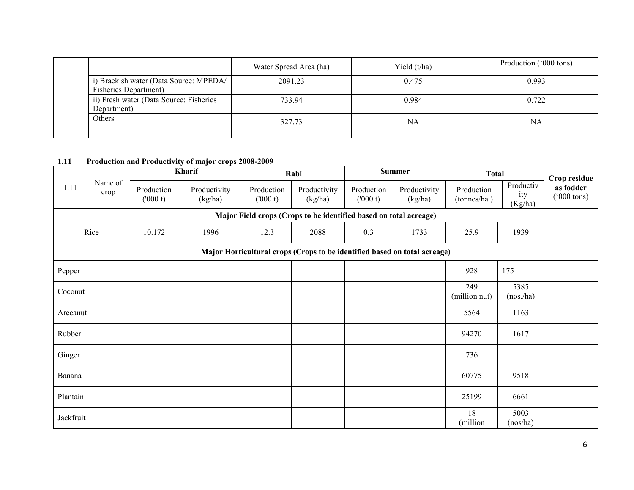|  |                                                                 | Water Spread Area (ha) | Yield $(t/ha)$ | Production ('000 tons) |
|--|-----------------------------------------------------------------|------------------------|----------------|------------------------|
|  | i) Brackish water (Data Source: MPEDA/<br>Fisheries Department) | 2091.23                | 0.475          | 0.993                  |
|  | ii) Fresh water (Data Source: Fisheries<br>Department)          | 733.94                 | 0.984          | 0.722                  |
|  | Others                                                          | 327.73                 | NA             | NA                     |

#### 1.11 Production and Productivity of major crops 2008-2009

|           |                 | Kharif                 |                         | Rabi                  |                                                                   | <b>Summer</b>         |                                                                           | <b>Total</b>              |                             | Crop residue                       |
|-----------|-----------------|------------------------|-------------------------|-----------------------|-------------------------------------------------------------------|-----------------------|---------------------------------------------------------------------------|---------------------------|-----------------------------|------------------------------------|
| 1.11      | Name of<br>crop | Production<br>(1000 t) | Productivity<br>(kg/ha) | Production<br>(000 t) | Productivity<br>(kg/ha)                                           | Production<br>(000 t) | Productivity<br>(kg/ha)                                                   | Production<br>(tonnes/ha) | Productiv<br>ity<br>(Kg/ha) | as fodder<br>$(5000 \text{ tons})$ |
|           |                 |                        |                         |                       | Major Field crops (Crops to be identified based on total acreage) |                       |                                                                           |                           |                             |                                    |
|           | Rice            | 10.172                 | 1996                    | 12.3                  | 2088                                                              | 0.3                   | 1733                                                                      | 25.9                      | 1939                        |                                    |
|           |                 |                        |                         |                       |                                                                   |                       | Major Horticultural crops (Crops to be identified based on total acreage) |                           |                             |                                    |
| Pepper    |                 |                        |                         |                       |                                                                   |                       |                                                                           | 928                       | 175                         |                                    |
| Coconut   |                 |                        |                         |                       |                                                                   |                       |                                                                           | 249<br>(million nut)      | 5385<br>(nos./ha)           |                                    |
| Arecanut  |                 |                        |                         |                       |                                                                   |                       |                                                                           | 5564                      | 1163                        |                                    |
| Rubber    |                 |                        |                         |                       |                                                                   |                       |                                                                           | 94270                     | 1617                        |                                    |
| Ginger    |                 |                        |                         |                       |                                                                   |                       |                                                                           | 736                       |                             |                                    |
| Banana    |                 |                        |                         |                       |                                                                   |                       |                                                                           | 60775                     | 9518                        |                                    |
| Plantain  |                 |                        |                         |                       |                                                                   |                       |                                                                           | 25199                     | 6661                        |                                    |
| Jackfruit |                 |                        |                         |                       |                                                                   |                       |                                                                           | 18<br>(million            | 5003<br>(nos/ha)            |                                    |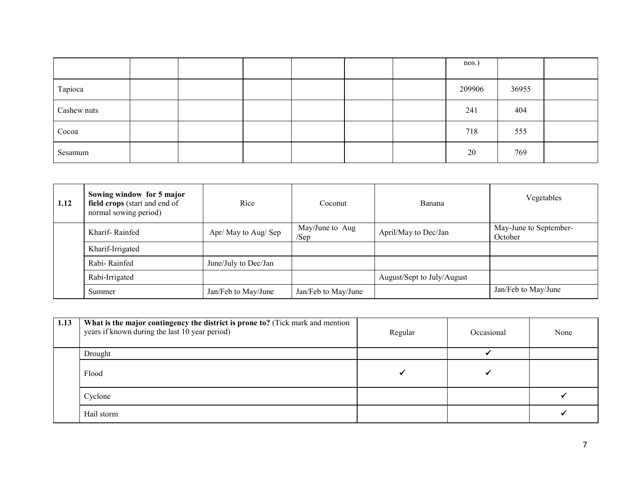|             |  |  |  | nos.)  |       |  |
|-------------|--|--|--|--------|-------|--|
| Tapioca     |  |  |  | 209906 | 36955 |  |
| Cashew nuts |  |  |  | 241    | 404   |  |
| Cocoa       |  |  |  | 718    | 555   |  |
| Sesamum     |  |  |  | 20     | 769   |  |

| 1.12 | Sowing window for 5 major<br>field crops (start and end of<br>normal sowing period) | Rice                 | Coconut                    | Banana                     | Vegetables                        |
|------|-------------------------------------------------------------------------------------|----------------------|----------------------------|----------------------------|-----------------------------------|
|      | Kharif-Rainfed                                                                      | Apr/ May to Aug/ Sep | May/June to Aug<br>$/$ Sep | April/May to Dec/Jan       | May-June to September-<br>October |
|      | Kharif-Irrigated                                                                    |                      |                            |                            |                                   |
|      | Rabi-Rainfed                                                                        | June/July to Dec/Jan |                            |                            |                                   |
|      | Rabi-Irrigated                                                                      |                      |                            | August/Sept to July/August |                                   |
|      | Summer                                                                              | Jan/Feb to May/June  | Jan/Feb to May/June        |                            | Jan/Feb to May/June               |

| 1.13 | What is the major contingency the district is prone to? (Tick mark and mention<br>years if known during the last 10 year period) | Regular | Occasional | None |
|------|----------------------------------------------------------------------------------------------------------------------------------|---------|------------|------|
|      | Drought                                                                                                                          |         |            |      |
|      | Flood                                                                                                                            |         |            |      |
|      | Cyclone                                                                                                                          |         |            |      |
|      | Hail storm                                                                                                                       |         |            |      |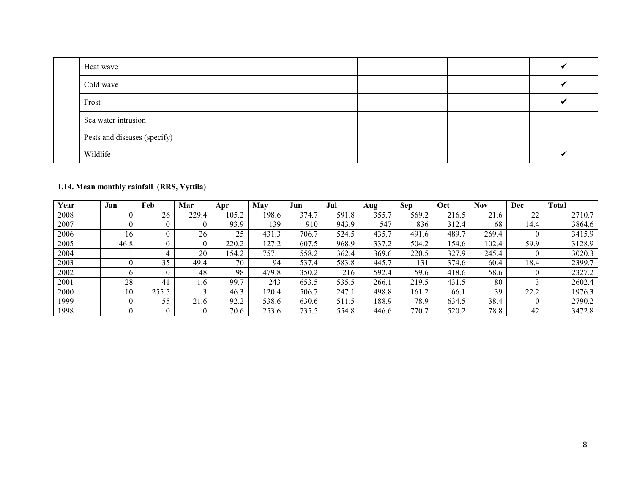| Heat wave                    |  |  |
|------------------------------|--|--|
| Cold wave                    |  |  |
| Frost                        |  |  |
| Sea water intrusion          |  |  |
| Pests and diseases (specify) |  |  |
| Wildlife                     |  |  |

### 1.14. Mean monthly rainfall (RRS, Vyttila)

| Year | Jan  | Feb   | Mar   | Apr   | Mav   | Jun                   | Jul              | Aug       | <b>Sep</b>            | Oct   | Nov   | Dec  | <b>Total</b> |
|------|------|-------|-------|-------|-------|-----------------------|------------------|-----------|-----------------------|-------|-------|------|--------------|
| 2008 |      | 26    | 229.4 | 105.2 | 198.6 | $\mathbf{r}$<br>374.1 | 591<br>$\cdot$ 8 | 355.<br>⇁ | 569.2                 | 216.5 | 21.6  | 22   | 2710.7       |
| 2007 |      |       |       | 93.9  | 139   | 910                   | 943.9            | 547       | 836                   | 312.4 | 68    | 14.4 | 3864.6       |
| 2006 | 16   |       | 26    | 25    | 431.3 | 706.7                 | 524.5            | 435.7     | 491.6                 | 489.7 | 269.4 |      | 3415.9       |
| 2005 | 46.8 |       |       | 220.2 | 127.2 | 607.5                 | 968.9            | 337.2     | 504.2                 | 154.6 | 102.4 | 59.9 | 3128.9       |
| 2004 |      |       | 20    | 154.2 | 757.1 | 558.2                 | 362.4            | 369.6     | 220.5                 | 327.9 | 245.4 |      | 3020.3       |
| 2003 |      | 35    | 49.4  | 70    | 94    | 537.4                 | 583.8            | 445.7     | 131                   | 374.6 | 60.4  | 18.4 | 2399.7       |
| 2002 |      |       | 48    | 98    | 479.8 | 350.2                 | 216              | 592.4     | 59.6                  | 418.6 | 58.6  |      | 2327.2       |
| 2001 | 28   | 41    | . .6  | 99.7  | 243   | 653.5                 | 535.5            | 266.      | 219.5                 | 431.5 | 80    |      | 2602.4       |
| 2000 | 10   | 255.5 |       | 46.3  | 120.4 | 506.7                 | 247.1            | 498.8     | 161.2                 | 66.1  | 39    | 22.2 | 1976.3       |
| 1999 |      | 55    | 21.6  | 92.2  | 538.6 | 630.6                 | 511.5            | 188.9     | 78.9                  | 634.5 | 38.4  |      | 2790.2       |
| 1998 |      |       |       | 70.6  | 253.6 | 735.5                 | 554.8            | 446.6     | 770.<br>$\mathcal{I}$ | 520.2 | 78.8  | 42   | 3472.8       |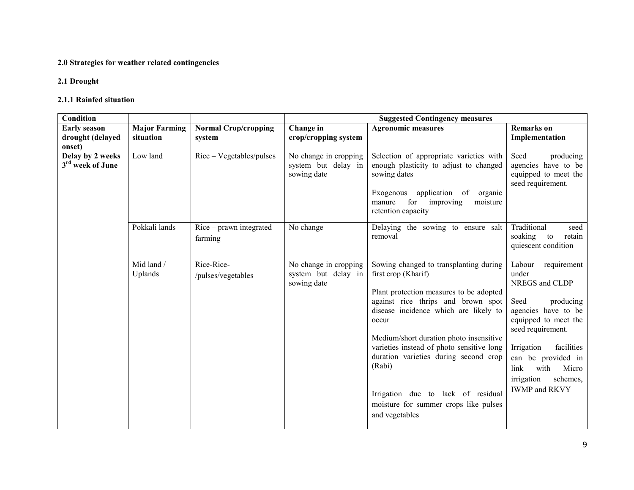#### 2.0 Strategies for weather related contingencies

### 2.1 Drought

#### 2.1.1 Rainfed situation

| Condition                                         |                                   |                                       |                                                             | <b>Suggested Contingency measures</b>                                                                                                                                                                                                                                                                                                                                                                                                        |                                                                                                                                                                                                                                                                        |
|---------------------------------------------------|-----------------------------------|---------------------------------------|-------------------------------------------------------------|----------------------------------------------------------------------------------------------------------------------------------------------------------------------------------------------------------------------------------------------------------------------------------------------------------------------------------------------------------------------------------------------------------------------------------------------|------------------------------------------------------------------------------------------------------------------------------------------------------------------------------------------------------------------------------------------------------------------------|
| <b>Early season</b><br>drought (delayed<br>onset) | <b>Major Farming</b><br>situation | <b>Normal Crop/cropping</b><br>system | Change in<br>crop/cropping system                           | <b>Agronomic measures</b>                                                                                                                                                                                                                                                                                                                                                                                                                    | <b>Remarks</b> on<br>Implementation                                                                                                                                                                                                                                    |
| Delay by 2 weeks<br>3 <sup>rd</sup> week of June  | Low land                          | Rice – Vegetables/pulses              | No change in cropping<br>system but delay in<br>sowing date | Selection of appropriate varieties with<br>enough plasticity to adjust to changed<br>sowing dates<br>application of<br>Exogenous<br>organic<br>for<br>improving<br>moisture<br>manure<br>retention capacity                                                                                                                                                                                                                                  | Seed<br>producing<br>agencies have to be<br>equipped to meet the<br>seed requirement.                                                                                                                                                                                  |
|                                                   | Pokkali lands                     | $Rice - prawn$ integrated<br>farming  | No change                                                   | Delaying the sowing to ensure salt<br>removal                                                                                                                                                                                                                                                                                                                                                                                                | Traditional<br>seed<br>soaking<br>to<br>retain<br>quiescent condition                                                                                                                                                                                                  |
|                                                   | Mid land /<br>Uplands             | Rice-Rice-<br>/pulses/vegetables      | No change in cropping<br>system but delay in<br>sowing date | Sowing changed to transplanting during<br>first crop (Kharif)<br>Plant protection measures to be adopted<br>against rice thrips and brown spot<br>disease incidence which are likely to<br>occur<br>Medium/short duration photo insensitive<br>varieties instead of photo sensitive long<br>duration varieties during second crop<br>(Rabi)<br>Irrigation due to lack of residual<br>moisture for summer crops like pulses<br>and vegetables | Labour<br>requirement<br>under<br>NREGS and CLDP<br>Seed<br>producing<br>agencies have to be<br>equipped to meet the<br>seed requirement.<br>facilities<br>Irrigation<br>can be provided in<br>link<br>with<br>Micro<br>irrigation<br>schemes,<br><b>IWMP</b> and RKVY |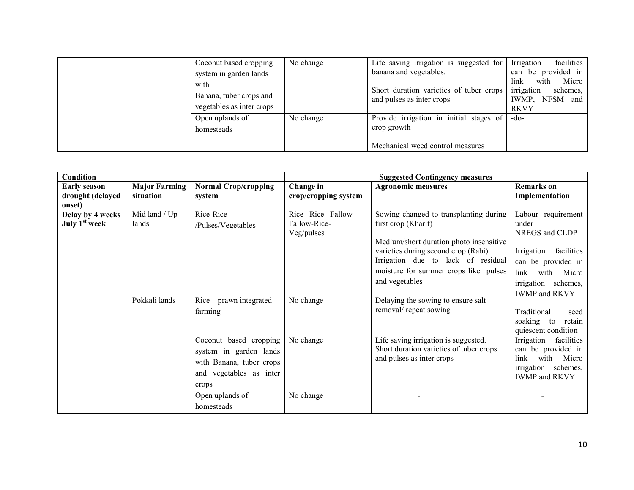| Coconut based cropping    | No change | Life saving irrigation is suggested for | Irrigation<br>facilities |
|---------------------------|-----------|-----------------------------------------|--------------------------|
| system in garden lands    |           | banana and vegetables.                  | be provided in<br>can    |
| with                      |           |                                         | link<br>Micro<br>with    |
| Banana, tuber crops and   |           | Short duration varieties of tuber crops | irrigation<br>schemes.   |
| vegetables as inter crops |           | and pulses as inter crops               | IWMP, NFSM and           |
|                           |           |                                         | <b>RKVY</b>              |
| Open uplands of           | No change | Provide irrigation in initial stages of | $-do-$                   |
| homesteads                |           | crop growth                             |                          |
|                           |           |                                         |                          |
|                           |           | Mechanical weed control measures        |                          |

| Condition                                     |                        |                                                                                                                                     |                                                | <b>Suggested Contingency measures</b>                                                                                                                                                                                                            |                                                                                                                                                                         |
|-----------------------------------------------|------------------------|-------------------------------------------------------------------------------------------------------------------------------------|------------------------------------------------|--------------------------------------------------------------------------------------------------------------------------------------------------------------------------------------------------------------------------------------------------|-------------------------------------------------------------------------------------------------------------------------------------------------------------------------|
| <b>Early season</b>                           | <b>Major Farming</b>   | <b>Normal Crop/cropping</b>                                                                                                         | Change in                                      | <b>Agronomic measures</b>                                                                                                                                                                                                                        | <b>Remarks</b> on                                                                                                                                                       |
| drought (delayed<br>onset)                    | situation              | system                                                                                                                              | crop/cropping system                           |                                                                                                                                                                                                                                                  | Implementation                                                                                                                                                          |
| Delay by 4 weeks<br>July 1 <sup>st</sup> week | Mid land / Up<br>lands | Rice-Rice-<br>/Pulses/Vegetables                                                                                                    | Rice-Rice-Fallow<br>Fallow-Rice-<br>Veg/pulses | Sowing changed to transplanting during<br>first crop (Kharif)<br>Medium/short duration photo insensitive<br>varieties during second crop (Rabi)<br>Irrigation due to lack of residual<br>moisture for summer crops like pulses<br>and vegetables | Labour requirement<br>under<br>NREGS and CLDP<br>facilities<br>Irrigation<br>can be provided in<br>link<br>with<br>Micro<br>irrigation schemes,<br><b>IWMP</b> and RKVY |
|                                               | Pokkali lands          | $Rice - prawn integrated$<br>farming                                                                                                | No change                                      | Delaying the sowing to ensure salt<br>removal/repeat sowing                                                                                                                                                                                      | Traditional<br>seed<br>soaking to<br>retain<br>quiescent condition                                                                                                      |
|                                               |                        | Coconut based cropping<br>system in garden lands<br>with Banana, tuber crops<br>and vegetables as inter<br>crops<br>Open uplands of | No change<br>No change                         | Life saving irrigation is suggested.<br>Short duration varieties of tuber crops<br>and pulses as inter crops                                                                                                                                     | Irrigation<br>facilities<br>can be provided in<br>with<br>Micro<br>link<br>irrigation schemes,<br><b>IWMP</b> and RKVY                                                  |
|                                               |                        | homesteads                                                                                                                          |                                                |                                                                                                                                                                                                                                                  |                                                                                                                                                                         |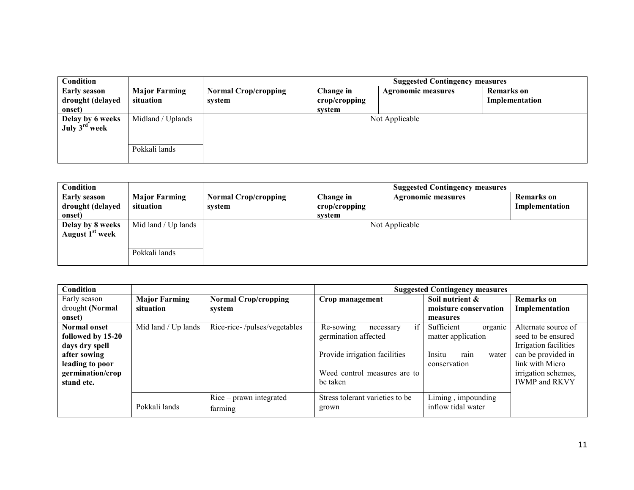| <b>Condition</b>          |                      |                             | <b>Suggested Contingency measures</b> |                           |                   |  |  |  |
|---------------------------|----------------------|-----------------------------|---------------------------------------|---------------------------|-------------------|--|--|--|
| <b>Early season</b>       | <b>Major Farming</b> | <b>Normal Crop/cropping</b> | Change in                             | <b>Agronomic measures</b> | <b>Remarks</b> on |  |  |  |
| drought (delayed          | situation            | system                      | crop/cropping                         |                           | Implementation    |  |  |  |
| onset)                    |                      |                             | system                                |                           |                   |  |  |  |
| Delay by 6 weeks          | Midland / Uplands    | Not Applicable              |                                       |                           |                   |  |  |  |
| July 3 <sup>rd</sup> week |                      |                             |                                       |                           |                   |  |  |  |
|                           |                      |                             |                                       |                           |                   |  |  |  |
|                           | Pokkali lands        |                             |                                       |                           |                   |  |  |  |

| <b>Condition</b>            |                      |                             |               | <b>Suggested Contingency measures</b> |                |  |  |
|-----------------------------|----------------------|-----------------------------|---------------|---------------------------------------|----------------|--|--|
| <b>Early season</b>         | <b>Major Farming</b> | <b>Normal Crop/cropping</b> | Change in     | <b>Agronomic measures</b>             | Remarks on     |  |  |
| drought (delayed            | situation            | system                      | crop/cropping |                                       | Implementation |  |  |
| onset)                      |                      |                             | system        |                                       |                |  |  |
| Delay by 8 weeks            | Mid land / Up lands  | Not Applicable              |               |                                       |                |  |  |
| August 1 <sup>st</sup> week |                      |                             |               |                                       |                |  |  |
|                             |                      |                             |               |                                       |                |  |  |
|                             | Pokkali lands        |                             |               |                                       |                |  |  |
|                             |                      |                             |               |                                       |                |  |  |

| Condition           |                      |                              | <b>Suggested Contingency measures</b> |                         |                       |  |  |  |
|---------------------|----------------------|------------------------------|---------------------------------------|-------------------------|-----------------------|--|--|--|
| Early season        | <b>Major Farming</b> | <b>Normal Crop/cropping</b>  | Crop management                       | Soil nutrient &         | <b>Remarks</b> on     |  |  |  |
| drought (Normal     | situation            | system                       |                                       | moisture conservation   | Implementation        |  |  |  |
| onset)              |                      |                              |                                       | measures                |                       |  |  |  |
| <b>Normal onset</b> | Mid land / Up lands  | Rice-rice-/pulses/vegetables | if<br>Re-sowing<br>necessary          | Sufficient<br>organic   | Alternate source of   |  |  |  |
| followed by 15-20   |                      |                              | germination affected                  | matter application      | seed to be ensured    |  |  |  |
| days dry spell      |                      |                              |                                       |                         | Irrigation facilities |  |  |  |
| after sowing        |                      |                              | Provide irrigation facilities         | Insitu<br>rain<br>water | can be provided in    |  |  |  |
| leading to poor     |                      |                              |                                       | conservation            | link with Micro       |  |  |  |
| germination/crop    |                      |                              | Weed control measures are to          |                         | irrigation schemes,   |  |  |  |
| stand etc.          |                      |                              | be taken                              |                         | <b>IWMP and RKVY</b>  |  |  |  |
|                     |                      |                              |                                       |                         |                       |  |  |  |
|                     |                      | $Rice - prawn$ integrated    | Stress tolerant varieties to be       | Liming, impounding      |                       |  |  |  |
|                     | Pokkali lands        | farming                      | grown                                 | inflow tidal water      |                       |  |  |  |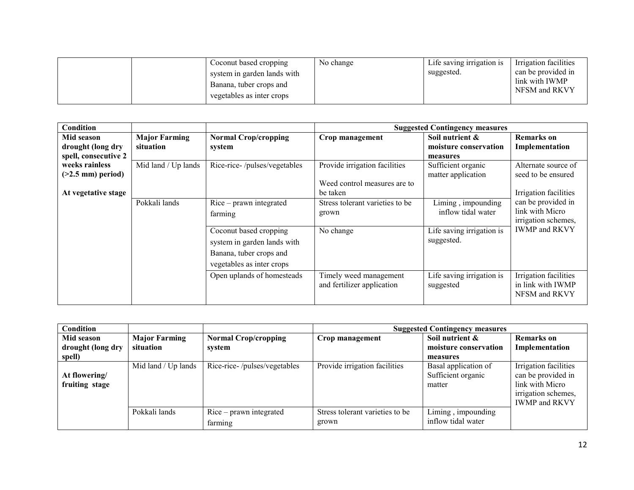|  | Coconut based cropping<br>system in garden lands with<br>Banana, tuber crops and | No change | Life saving irrigation is<br>suggested. | Irrigation facilities<br>can be provided in<br>link with IWMP<br>NFSM and RKVY |
|--|----------------------------------------------------------------------------------|-----------|-----------------------------------------|--------------------------------------------------------------------------------|
|  | vegetables as inter crops                                                        |           |                                         |                                                                                |

| <b>Condition</b>     |                      |                              | <b>Suggested Contingency measures</b> |                           |                             |  |
|----------------------|----------------------|------------------------------|---------------------------------------|---------------------------|-----------------------------|--|
| Mid season           | <b>Major Farming</b> | <b>Normal Crop/cropping</b>  | Crop management                       | Soil nutrient &           | Remarks on                  |  |
| drought (long dry    | situation            | system                       |                                       | moisture conservation     | Implementation              |  |
| spell, consecutive 2 |                      |                              |                                       | measures                  |                             |  |
| weeks rainless       | Mid land / Up lands  | Rice-rice-/pulses/vegetables | Provide irrigation facilities         | Sufficient organic        | Alternate source of         |  |
| $($ >2.5 mm) period) |                      |                              |                                       | matter application        | seed to be ensured          |  |
|                      |                      |                              | Weed control measures are to          |                           |                             |  |
| At vegetative stage  |                      |                              | be taken                              |                           | Irrigation facilities       |  |
|                      | Pokkali lands        | Rice – prawn integrated      | Stress tolerant varieties to be       | Liming, impounding        | can be provided in          |  |
|                      |                      | farming                      | grown                                 | inflow tidal water        | link with Micro             |  |
|                      |                      |                              |                                       |                           | irrigation schemes,         |  |
|                      |                      | Coconut based cropping       | No change                             | Life saving irrigation is | <b>IWMP</b> and <b>RKVY</b> |  |
|                      |                      | system in garden lands with  |                                       | suggested.                |                             |  |
|                      |                      | Banana, tuber crops and      |                                       |                           |                             |  |
|                      |                      | vegetables as inter crops    |                                       |                           |                             |  |
|                      |                      | Open uplands of homesteads   | Timely weed management                | Life saving irrigation is | Irrigation facilities       |  |
|                      |                      |                              | and fertilizer application            | suggested                 | in link with IWMP           |  |
|                      |                      |                              |                                       |                           | NFSM and RKVY               |  |
|                      |                      |                              |                                       |                           |                             |  |

| Condition                                 |                                   |                                       | <b>Suggested Contingency measures</b>    |                                                      |                                                                                                               |
|-------------------------------------------|-----------------------------------|---------------------------------------|------------------------------------------|------------------------------------------------------|---------------------------------------------------------------------------------------------------------------|
| Mid season<br>drought (long dry<br>spell) | <b>Major Farming</b><br>situation | <b>Normal Crop/cropping</b><br>system | Crop management                          | Soil nutrient &<br>moisture conservation<br>measures | <b>Remarks</b> on<br>Implementation                                                                           |
| At flowering/<br>fruiting stage           | Mid land / Up lands               | Rice-rice-/pulses/vegetables          | Provide irrigation facilities            | Basal application of<br>Sufficient organic<br>matter | Irrigation facilities<br>can be provided in<br>link with Micro<br>irrigation schemes,<br><b>IWMP</b> and RKVY |
|                                           | Pokkali lands                     | $Rice - prawn$ integrated<br>farming  | Stress tolerant varieties to be<br>grown | Liming, impounding<br>inflow tidal water             |                                                                                                               |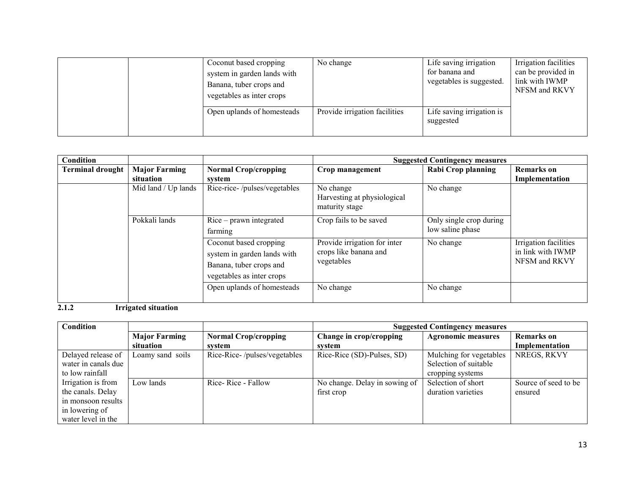|  | Coconut based cropping<br>system in garden lands with<br>Banana, tuber crops and<br>vegetables as inter crops | No change                     | Life saving irrigation<br>for banana and<br>vegetables is suggested. | Irrigation facilities<br>can be provided in<br>link with IWMP<br>NFSM and RKVY |
|--|---------------------------------------------------------------------------------------------------------------|-------------------------------|----------------------------------------------------------------------|--------------------------------------------------------------------------------|
|  | Open uplands of homesteads                                                                                    | Provide irrigation facilities | Life saving irrigation is<br>suggested                               |                                                                                |

| Condition               |                      |                                                                                                               |                                                                     | <b>Suggested Contingency measures</b>       |                                                             |
|-------------------------|----------------------|---------------------------------------------------------------------------------------------------------------|---------------------------------------------------------------------|---------------------------------------------|-------------------------------------------------------------|
| <b>Terminal drought</b> | <b>Major Farming</b> | <b>Normal Crop/cropping</b>                                                                                   | Crop management                                                     | Rabi Crop planning                          | <b>Remarks</b> on                                           |
|                         | situation            | system                                                                                                        |                                                                     |                                             | Implementation                                              |
|                         | Mid land / Up lands  | Rice-rice-/pulses/vegetables                                                                                  | No change<br>Harvesting at physiological<br>maturity stage          | No change                                   |                                                             |
|                         | Pokkali lands        | $Rice - prawn$ integrated<br>farming                                                                          | Crop fails to be saved                                              | Only single crop during<br>low saline phase |                                                             |
|                         |                      | Coconut based cropping<br>system in garden lands with<br>Banana, tuber crops and<br>vegetables as inter crops | Provide irrigation for inter<br>crops like banana and<br>vegetables | No change                                   | Irrigation facilities<br>in link with IWMP<br>NFSM and RKVY |
|                         |                      | Open uplands of homesteads                                                                                    | No change                                                           | No change                                   |                                                             |

2.1.2 Irrigated situation

| <b>Condition</b>    |                      |                              | <b>Suggested Contingency measures</b> |                           |                      |
|---------------------|----------------------|------------------------------|---------------------------------------|---------------------------|----------------------|
|                     | <b>Major Farming</b> | <b>Normal Crop/cropping</b>  | Change in crop/cropping               | <b>Agronomic measures</b> | <b>Remarks</b> on    |
|                     | situation            | system                       | system                                |                           | Implementation       |
| Delayed release of  | Loamy sand soils     | Rice-Rice-/pulses/vegetables | Rice-Rice (SD)-Pulses, SD)            | Mulching for vegetables   | NREGS, RKVY          |
| water in canals due |                      |                              |                                       | Selection of suitable     |                      |
| to low rainfall     |                      |                              |                                       | cropping systems          |                      |
| Irrigation is from  | Low lands            | Rice-Rice - Fallow           | No change. Delay in sowing of         | Selection of short        | Source of seed to be |
| the canals. Delay   |                      |                              | first crop                            | duration varieties        | ensured              |
| in monsoon results  |                      |                              |                                       |                           |                      |
| in lowering of      |                      |                              |                                       |                           |                      |
| water level in the  |                      |                              |                                       |                           |                      |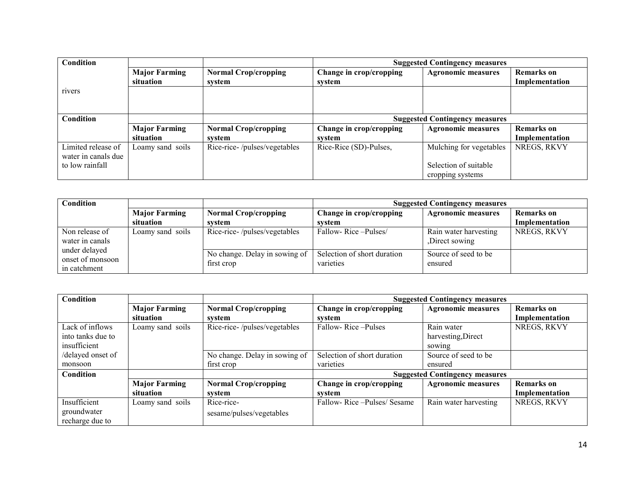| Condition                                 |                                   |                                       | <b>Suggested Contingency measures</b> |                                           |                                     |  |
|-------------------------------------------|-----------------------------------|---------------------------------------|---------------------------------------|-------------------------------------------|-------------------------------------|--|
|                                           | <b>Major Farming</b><br>situation | <b>Normal Crop/cropping</b><br>svstem | Change in crop/cropping<br>svstem     | <b>Agronomic measures</b>                 | <b>Remarks</b> on<br>Implementation |  |
| rivers                                    |                                   |                                       |                                       |                                           |                                     |  |
| <b>Condition</b>                          |                                   |                                       | <b>Suggested Contingency measures</b> |                                           |                                     |  |
|                                           | <b>Major Farming</b><br>situation | <b>Normal Crop/cropping</b><br>svstem | Change in crop/cropping<br>svstem     | <b>Agronomic measures</b>                 | <b>Remarks</b> on<br>Implementation |  |
| Limited release of<br>water in canals due | Loamy sand soils                  | Rice-rice-/pulses/vegetables          | Rice-Rice (SD)-Pulses,                | Mulching for vegetables                   | NREGS, RKVY                         |  |
| to low rainfall                           |                                   |                                       |                                       | Selection of suitable<br>cropping systems |                                     |  |

| Condition                                         |                      |                                             | <b>Suggested Contingency measures</b>    |                                        |                |  |
|---------------------------------------------------|----------------------|---------------------------------------------|------------------------------------------|----------------------------------------|----------------|--|
|                                                   | <b>Major Farming</b> | <b>Normal Crop/cropping</b>                 | Change in crop/cropping                  | <b>Agronomic measures</b>              | Remarks on     |  |
|                                                   | situation            | system                                      | system                                   |                                        | Implementation |  |
| Non release of<br>water in canals                 | Loamy sand soils     | Rice-rice-/pulses/vegetables                | Fallow-Rice-Pulses/                      | Rain water harvesting<br>Direct sowing | NREGS, RKVY    |  |
| under delayed<br>onset of monsoon<br>in catchment |                      | No change. Delay in sowing of<br>first crop | Selection of short duration<br>varieties | Source of seed to be<br>ensured        |                |  |

| Condition         |                      |                               | <b>Suggested Contingency measures</b> |                                       |                   |  |
|-------------------|----------------------|-------------------------------|---------------------------------------|---------------------------------------|-------------------|--|
|                   | <b>Major Farming</b> | <b>Normal Crop/cropping</b>   | Change in crop/cropping               | <b>Agronomic measures</b>             | <b>Remarks</b> on |  |
|                   | situation            | system                        | system                                |                                       | Implementation    |  |
| Lack of inflows   | Loamy sand soils     | Rice-rice-/pulses/vegetables  | Fallow-Rice-Pulses                    | Rain water                            | NREGS, RKVY       |  |
| into tanks due to |                      |                               |                                       | harvesting, Direct                    |                   |  |
| insufficient      |                      |                               |                                       | sowing                                |                   |  |
| /delayed onset of |                      | No change. Delay in sowing of | Selection of short duration           | Source of seed to be                  |                   |  |
| monsoon           |                      | first crop                    | varieties                             | ensured                               |                   |  |
| Condition         |                      |                               |                                       | <b>Suggested Contingency measures</b> |                   |  |
|                   | <b>Major Farming</b> | <b>Normal Crop/cropping</b>   | Change in crop/cropping               | <b>Agronomic measures</b>             | <b>Remarks</b> on |  |
|                   | situation            | system                        | system                                |                                       | Implementation    |  |
| Insufficient      | Loamy sand soils     | Rice-rice-                    | Fallow-Rice - Pulses/Sesame           | Rain water harvesting                 | NREGS, RKVY       |  |
| groundwater       |                      | sesame/pulses/vegetables      |                                       |                                       |                   |  |
| recharge due to   |                      |                               |                                       |                                       |                   |  |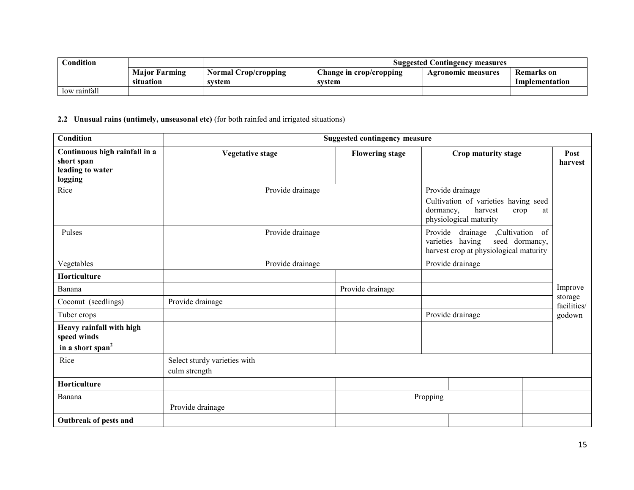| Condition    |                      |                             | <b>Suggested Contingency measures</b> |                    |                   |
|--------------|----------------------|-----------------------------|---------------------------------------|--------------------|-------------------|
|              | <b>Maior Farming</b> | <b>Normal Crop/cropping</b> | $\Box$ hange in crop/cropping         | Agronomic measures | <b>Remarks</b> on |
|              | situation            | svstem                      | svstem                                |                    | Implementation    |
| low rainfall |                      |                             |                                       |                    |                   |

2.2 Unusual rains (untimely, unseasonal etc) (for both rainfed and irrigated situations)

| Condition                                                                  |                                               |                  | <b>Suggested contingency measure</b> |           |                                                                                                             |                        |
|----------------------------------------------------------------------------|-----------------------------------------------|------------------|--------------------------------------|-----------|-------------------------------------------------------------------------------------------------------------|------------------------|
| Continuous high rainfall in a<br>short span<br>leading to water<br>logging | <b>Vegetative stage</b>                       |                  | <b>Flowering stage</b>               |           | Crop maturity stage                                                                                         | Post<br>harvest        |
| Rice                                                                       |                                               | Provide drainage |                                      | dormancy, | Provide drainage<br>Cultivation of varieties having seed<br>harvest<br>crop<br>at<br>physiological maturity |                        |
| Pulses                                                                     |                                               | Provide drainage |                                      | Provide   | ,Cultivation of<br>drainage<br>varieties having<br>seed dormancy,<br>harvest crop at physiological maturity |                        |
| Vegetables                                                                 |                                               | Provide drainage |                                      |           | Provide drainage                                                                                            |                        |
| Horticulture                                                               |                                               |                  |                                      |           |                                                                                                             |                        |
| Banana                                                                     |                                               |                  | Provide drainage                     |           |                                                                                                             | Improve                |
| Coconut (seedlings)                                                        | Provide drainage                              |                  |                                      |           |                                                                                                             | storage<br>facilities/ |
| Tuber crops                                                                |                                               |                  |                                      |           | Provide drainage                                                                                            | godown                 |
| Heavy rainfall with high<br>speed winds<br>in a short span <sup>2</sup>    |                                               |                  |                                      |           |                                                                                                             |                        |
| Rice                                                                       | Select sturdy varieties with<br>culm strength |                  |                                      |           |                                                                                                             |                        |
| Horticulture                                                               |                                               |                  |                                      |           |                                                                                                             |                        |
| Banana                                                                     | Provide drainage                              |                  |                                      | Propping  |                                                                                                             |                        |
| Outbreak of pests and                                                      |                                               |                  |                                      |           |                                                                                                             |                        |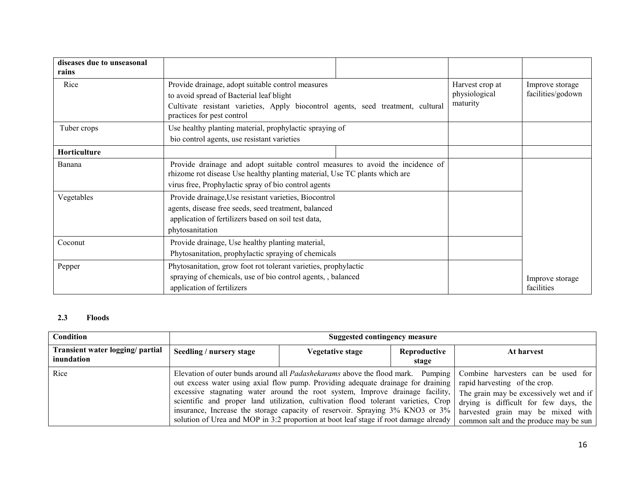| diseases due to unseasonal<br>rains |                                                                                                                                                                                                                      |                                              |                                      |                               |
|-------------------------------------|----------------------------------------------------------------------------------------------------------------------------------------------------------------------------------------------------------------------|----------------------------------------------|--------------------------------------|-------------------------------|
| Rice                                | Provide drainage, adopt suitable control measures<br>to avoid spread of Bacterial leaf blight<br>Cultivate resistant varieties, Apply biocontrol agents, seed treatment, cultural<br>practices for pest control      | Harvest crop at<br>physiological<br>maturity | Improve storage<br>facilities/godown |                               |
| Tuber crops                         | Use healthy planting material, prophylactic spraying of<br>bio control agents, use resistant varieties                                                                                                               |                                              |                                      |                               |
| Horticulture                        |                                                                                                                                                                                                                      |                                              |                                      |                               |
| Banana                              | Provide drainage and adopt suitable control measures to avoid the incidence of<br>rhizome rot disease Use healthy planting material, Use TC plants which are<br>virus free, Prophylactic spray of bio control agents |                                              |                                      |                               |
| Vegetables                          | Provide drainage, Use resistant varieties, Biocontrol<br>agents, disease free seeds, seed treatment, balanced<br>application of fertilizers based on soil test data,<br>phytosanitation                              |                                              |                                      |                               |
| Coconut                             | Provide drainage, Use healthy planting material,<br>Phytosanitation, prophylactic spraying of chemicals                                                                                                              |                                              |                                      |                               |
| Pepper                              | Phytosanitation, grow foot rot tolerant varieties, prophylactic<br>spraying of chemicals, use of bio control agents, balanced<br>application of fertilizers                                                          |                                              |                                      | Improve storage<br>facilities |

# 2.3 Floods

| Condition                                      |                          | Suggested contingency measure                                                                                                                                                                                                                                                                                                                                                                                                                                                                                              |            |                                                                                                                                                                                                                                        |  |  |  |
|------------------------------------------------|--------------------------|----------------------------------------------------------------------------------------------------------------------------------------------------------------------------------------------------------------------------------------------------------------------------------------------------------------------------------------------------------------------------------------------------------------------------------------------------------------------------------------------------------------------------|------------|----------------------------------------------------------------------------------------------------------------------------------------------------------------------------------------------------------------------------------------|--|--|--|
| Transient water logging/ partial<br>inundation | Seedling / nursery stage | Vegetative stage                                                                                                                                                                                                                                                                                                                                                                                                                                                                                                           | At harvest |                                                                                                                                                                                                                                        |  |  |  |
| Rice                                           |                          | Elevation of outer bunds around all <i>Padashekarams</i> above the flood mark. Pumping<br>out excess water using axial flow pump. Providing adequate drainage for draining<br>excessive stagnating water around the root system, Improve drainage facility,<br>scientific and proper land utilization, cultivation flood tolerant varieties, Crop<br>insurance, Increase the storage capacity of reservoir. Spraying 3% KNO3 or 3%<br>solution of Urea and MOP in 3:2 proportion at boot leaf stage if root damage already |            | Combine harvesters can be used for<br>rapid harvesting of the crop.<br>The grain may be excessively wet and if<br>drying is difficult for few days, the<br>harvested grain may be mixed with<br>common salt and the produce may be sun |  |  |  |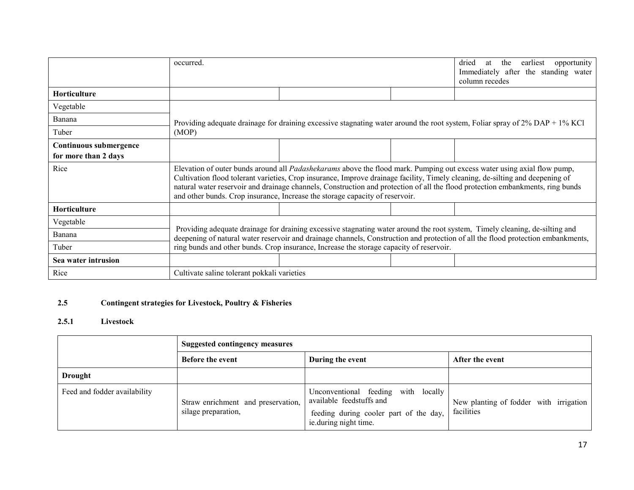|                        | occurred.                                                                                                                                                                                                                                                                                                                                                                                                                                                                         |  |  | earliest<br>dried<br>the<br>opportunity<br>at<br>Immediately after the standing water<br>column recedes |
|------------------------|-----------------------------------------------------------------------------------------------------------------------------------------------------------------------------------------------------------------------------------------------------------------------------------------------------------------------------------------------------------------------------------------------------------------------------------------------------------------------------------|--|--|---------------------------------------------------------------------------------------------------------|
| Horticulture           |                                                                                                                                                                                                                                                                                                                                                                                                                                                                                   |  |  |                                                                                                         |
| Vegetable              |                                                                                                                                                                                                                                                                                                                                                                                                                                                                                   |  |  |                                                                                                         |
| Banana                 |                                                                                                                                                                                                                                                                                                                                                                                                                                                                                   |  |  |                                                                                                         |
| Tuber                  | Providing adequate drainage for draining excessive stagnating water around the root system, Foliar spray of $2\%$ DAP + 1% KCl<br>(MOP)                                                                                                                                                                                                                                                                                                                                           |  |  |                                                                                                         |
| Continuous submergence |                                                                                                                                                                                                                                                                                                                                                                                                                                                                                   |  |  |                                                                                                         |
| for more than 2 days   |                                                                                                                                                                                                                                                                                                                                                                                                                                                                                   |  |  |                                                                                                         |
| Rice                   | Elevation of outer bunds around all <i>Padashekarams</i> above the flood mark. Pumping out excess water using axial flow pump,<br>Cultivation flood tolerant varieties, Crop insurance, Improve drainage facility, Timely cleaning, de-silting and deepening of<br>natural water reservoir and drainage channels, Construction and protection of all the flood protection embankments, ring bunds<br>and other bunds. Crop insurance, Increase the storage capacity of reservoir. |  |  |                                                                                                         |
| <b>Horticulture</b>    |                                                                                                                                                                                                                                                                                                                                                                                                                                                                                   |  |  |                                                                                                         |
| Vegetable              |                                                                                                                                                                                                                                                                                                                                                                                                                                                                                   |  |  |                                                                                                         |
| Banana                 | Providing adequate drainage for draining excessive stagnating water around the root system, Timely cleaning, de-silting and<br>deepening of natural water reservoir and drainage channels, Construction and protection of all the flood protection embankments,<br>ring bunds and other bunds. Crop insurance, Increase the storage capacity of reservoir.                                                                                                                        |  |  |                                                                                                         |
| Tuber                  |                                                                                                                                                                                                                                                                                                                                                                                                                                                                                   |  |  |                                                                                                         |
| Sea water intrusion    |                                                                                                                                                                                                                                                                                                                                                                                                                                                                                   |  |  |                                                                                                         |
| Rice                   | Cultivate saline tolerant pokkali varieties                                                                                                                                                                                                                                                                                                                                                                                                                                       |  |  |                                                                                                         |

#### 2.5Contingent strategies for Livestock, Poultry & Fisheries

### 2.5.1 Livestock

|                              | <b>Suggested contingency measures</b>                     |                                                                                                                                    |                                                      |  |
|------------------------------|-----------------------------------------------------------|------------------------------------------------------------------------------------------------------------------------------------|------------------------------------------------------|--|
|                              | <b>Before the event</b>                                   | During the event                                                                                                                   | After the event                                      |  |
| Drought                      |                                                           |                                                                                                                                    |                                                      |  |
| Feed and fodder availability | Straw enrichment and preservation,<br>silage preparation, | Unconventional feeding with locally<br>available feedstuffs and<br>feeding during cooler part of the day,<br>ie.during night time. | New planting of fodder with irrigation<br>facilities |  |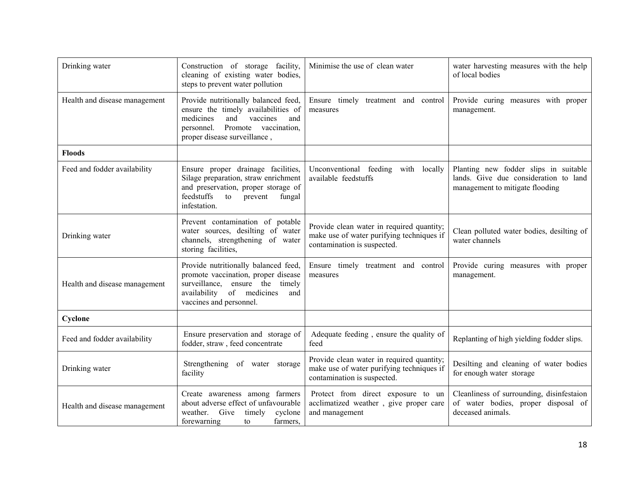| Drinking water                | Construction of storage facility,<br>cleaning of existing water bodies,<br>steps to prevent water pollution                                                                              | Minimise the use of clean water                                                                                       | water harvesting measures with the help<br>of local bodies                                                        |
|-------------------------------|------------------------------------------------------------------------------------------------------------------------------------------------------------------------------------------|-----------------------------------------------------------------------------------------------------------------------|-------------------------------------------------------------------------------------------------------------------|
| Health and disease management | Provide nutritionally balanced feed,<br>ensure the timely availabilities of<br>medicines<br>and<br>vaccines<br>and<br>Promote vaccination,<br>personnel.<br>proper disease surveillance, | Ensure timely treatment and control<br>measures                                                                       | Provide curing measures with proper<br>management.                                                                |
| <b>Floods</b>                 |                                                                                                                                                                                          |                                                                                                                       |                                                                                                                   |
| Feed and fodder availability  | Ensure proper drainage facilities,<br>Silage preparation, straw enrichment<br>and preservation, proper storage of<br>feedstuffs<br>to<br>prevent<br>fungal<br>infestation.               | Unconventional feeding with locally<br>available feedstuffs                                                           | Planting new fodder slips in suitable<br>lands. Give due consideration to land<br>management to mitigate flooding |
| Drinking water                | Prevent contamination of potable<br>water sources, desilting of water<br>channels, strengthening of water<br>storing facilities,                                                         | Provide clean water in required quantity;<br>make use of water purifying techniques if<br>contamination is suspected. | Clean polluted water bodies, desilting of<br>water channels                                                       |
| Health and disease management | Provide nutritionally balanced feed,<br>promote vaccination, proper disease<br>surveillance, ensure the timely<br>availability of medicines<br>and<br>vaccines and personnel.            | Ensure timely treatment and control<br>measures                                                                       | Provide curing measures with proper<br>management.                                                                |
| Cyclone                       |                                                                                                                                                                                          |                                                                                                                       |                                                                                                                   |
| Feed and fodder availability  | Ensure preservation and storage of<br>fodder, straw, feed concentrate                                                                                                                    | Adequate feeding, ensure the quality of<br>feed                                                                       | Replanting of high yielding fodder slips.                                                                         |
| Drinking water                | Strengthening of water storage<br>facility                                                                                                                                               | Provide clean water in required quantity;<br>make use of water purifying techniques if<br>contamination is suspected. | Desilting and cleaning of water bodies<br>for enough water storage                                                |
| Health and disease management | Create awareness among farmers<br>about adverse effect of unfavourable<br>weather. Give<br>timely<br>cyclone<br>forewarning<br>farmers,<br>to                                            | Protect from direct exposure to un<br>acclimatized weather, give proper care<br>and management                        | Cleanliness of surrounding, disinfestaion<br>of water bodies, proper disposal of<br>deceased animals.             |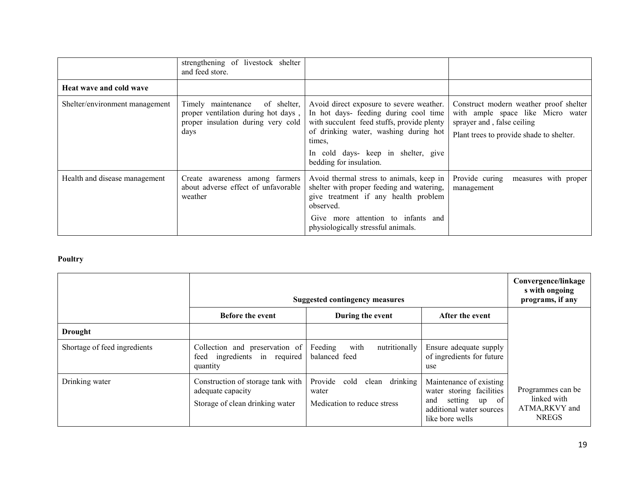|                                | strengthening of livestock shelter<br>and feed store.                                                                  |                                                                                                                                                                                                                                                      |                                                                                                                                                       |
|--------------------------------|------------------------------------------------------------------------------------------------------------------------|------------------------------------------------------------------------------------------------------------------------------------------------------------------------------------------------------------------------------------------------------|-------------------------------------------------------------------------------------------------------------------------------------------------------|
| <b>Heat wave and cold wave</b> |                                                                                                                        |                                                                                                                                                                                                                                                      |                                                                                                                                                       |
| Shelter/environment management | of shelter,<br>Timely maintenance<br>proper ventilation during hot days,<br>proper insulation during very cold<br>days | Avoid direct exposure to severe weather.<br>In hot days- feeding during cool time<br>with succulent feed stuffs, provide plenty<br>of drinking water, washing during hot<br>times.<br>In cold days- keep in shelter, give<br>bedding for insulation. | Construct modern weather proof shelter<br>with ample space like Micro water<br>sprayer and, false ceiling<br>Plant trees to provide shade to shelter. |
| Health and disease management  | Create awareness among farmers<br>about adverse effect of unfavorable<br>weather                                       | Avoid thermal stress to animals, keep in<br>shelter with proper feeding and watering,<br>give treatment if any health problem<br>observed.<br>Give more attention to infants and<br>physiologically stressful animals.                               | Provide curing<br>measures with proper<br>management                                                                                                  |

# Poultry

|                              | <b>Suggested contingency measures</b>                                                     | Convergence/linkage<br>s with ongoing<br>programs, if any                    |                                                                                                                                 |                                                                    |
|------------------------------|-------------------------------------------------------------------------------------------|------------------------------------------------------------------------------|---------------------------------------------------------------------------------------------------------------------------------|--------------------------------------------------------------------|
|                              | Before the event                                                                          | During the event                                                             | After the event                                                                                                                 |                                                                    |
| Drought                      |                                                                                           |                                                                              |                                                                                                                                 |                                                                    |
| Shortage of feed ingredients | Collection and preservation of<br>ingredients in required<br>feed<br>quantity             | with<br>Feeding<br>nutritionally<br>balanced feed                            | Ensure adequate supply<br>of ingredients for future<br>use                                                                      |                                                                    |
| Drinking water               | Construction of storage tank with<br>adequate capacity<br>Storage of clean drinking water | Provide<br>drinking<br>cold<br>clean<br>water<br>Medication to reduce stress | Maintenance of existing<br>water storing facilities<br>$up$ of<br>setting<br>and<br>additional water sources<br>like bore wells | Programmes can be<br>linked with<br>ATMA, RKVY and<br><b>NREGS</b> |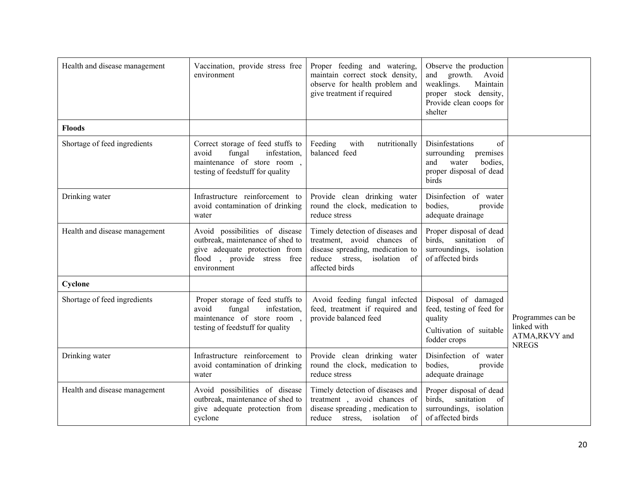| Health and disease management | Vaccination, provide stress free<br>environment                                                                                                  | Proper feeding and watering,<br>maintain correct stock density,<br>observe for health problem and<br>give treatment if required                              | Observe the production<br>and growth.<br>Avoid<br>weaklings.<br>Maintain<br>proper stock density,<br>Provide clean coops for<br>shelter |                                                                   |
|-------------------------------|--------------------------------------------------------------------------------------------------------------------------------------------------|--------------------------------------------------------------------------------------------------------------------------------------------------------------|-----------------------------------------------------------------------------------------------------------------------------------------|-------------------------------------------------------------------|
| <b>Floods</b>                 |                                                                                                                                                  |                                                                                                                                                              |                                                                                                                                         |                                                                   |
| Shortage of feed ingredients  | Correct storage of feed stuffs to<br>fungal<br>infestation,<br>avoid<br>maintenance of store room,<br>testing of feedstuff for quality           | Feeding<br>with<br>nutritionally<br>balanced feed                                                                                                            | Disinfestations<br>of<br>surrounding<br>premises<br>and<br>water<br>bodies,<br>proper disposal of dead<br>birds                         |                                                                   |
| Drinking water                | Infrastructure reinforcement to<br>avoid contamination of drinking<br>water                                                                      | Provide clean drinking water<br>round the clock, medication to<br>reduce stress                                                                              | Disinfection of water<br>bodies.<br>provide<br>adequate drainage                                                                        |                                                                   |
| Health and disease management | Avoid possibilities of disease<br>outbreak, maintenance of shed to<br>give adequate protection from<br>flood, provide stress free<br>environment | Timely detection of diseases and<br>treatment, avoid chances of<br>disease spreading, medication to<br>reduce stress,<br>isolation<br>- of<br>affected birds | Proper disposal of dead<br>birds.<br>sanitation<br>- of<br>surroundings, isolation<br>of affected birds                                 |                                                                   |
| Cyclone                       |                                                                                                                                                  |                                                                                                                                                              |                                                                                                                                         |                                                                   |
| Shortage of feed ingredients  | Proper storage of feed stuffs to<br>avoid<br>fungal<br>infestation,<br>maintenance of store room,<br>testing of feedstuff for quality            | Avoid feeding fungal infected<br>feed, treatment if required and<br>provide balanced feed                                                                    | Disposal of damaged<br>feed, testing of feed for<br>quality<br>Cultivation of suitable<br>fodder crops                                  | Programmes can be<br>linked with<br>ATMA,RKVY and<br><b>NREGS</b> |
| Drinking water                | Infrastructure reinforcement to<br>avoid contamination of drinking<br>water                                                                      | Provide clean drinking water<br>round the clock, medication to<br>reduce stress                                                                              | Disinfection of water<br>bodies,<br>provide<br>adequate drainage                                                                        |                                                                   |
| Health and disease management | Avoid possibilities of disease<br>outbreak, maintenance of shed to<br>give adequate protection from<br>cyclone                                   | Timely detection of diseases and<br>treatment, avoid chances of<br>disease spreading, medication to<br>reduce stress,<br>isolation of                        | Proper disposal of dead<br>birds.<br>sanitation of<br>surroundings, isolation<br>of affected birds                                      |                                                                   |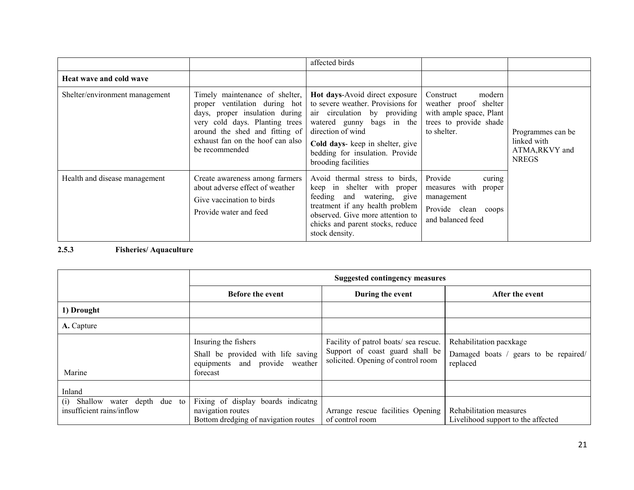|                                |                                                                                                                                                                                                                             | affected birds                                                                                                                                                                                                                                      |                                                                                                                  |                                                                    |
|--------------------------------|-----------------------------------------------------------------------------------------------------------------------------------------------------------------------------------------------------------------------------|-----------------------------------------------------------------------------------------------------------------------------------------------------------------------------------------------------------------------------------------------------|------------------------------------------------------------------------------------------------------------------|--------------------------------------------------------------------|
| <b>Heat wave and cold wave</b> |                                                                                                                                                                                                                             |                                                                                                                                                                                                                                                     |                                                                                                                  |                                                                    |
| Shelter/environment management | Timely maintenance of shelter,<br>proper ventilation during hot<br>days, proper insulation during<br>very cold days. Planting trees<br>around the shed and fitting of<br>exhaust fan on the hoof can also<br>be recommended | Hot days-Avoid direct exposure<br>to severe weather. Provisions for<br>air circulation by providing<br>watered gunny bags in the<br>direction of wind<br>Cold days- keep in shelter, give<br>bedding for insulation. Provide<br>brooding facilities | Construct<br>modern<br>weather proof shelter<br>with ample space, Plant<br>trees to provide shade<br>to shelter. | Programmes can be<br>linked with<br>ATMA, RKVY and<br><b>NREGS</b> |
| Health and disease management  | Create awareness among farmers<br>about adverse effect of weather<br>Give vaccination to birds<br>Provide water and feed                                                                                                    | Avoid thermal stress to birds,<br>keep in shelter with proper<br>feeding and watering, give<br>treatment if any health problem<br>observed. Give more attention to<br>chicks and parent stocks, reduce<br>stock density.                            | Provide<br>curing<br>measures with proper<br>management<br>Provide clean coops<br>and balanced feed              |                                                                    |

# 2.5.3 Fisheries/ Aquaculture

|                                                                | <b>Suggested contingency measures</b>                                                                    |                                                                                                                |                                                                              |  |
|----------------------------------------------------------------|----------------------------------------------------------------------------------------------------------|----------------------------------------------------------------------------------------------------------------|------------------------------------------------------------------------------|--|
|                                                                | <b>Before the event</b>                                                                                  | During the event                                                                                               | After the event                                                              |  |
| 1) Drought                                                     |                                                                                                          |                                                                                                                |                                                                              |  |
| A. Capture                                                     |                                                                                                          |                                                                                                                |                                                                              |  |
| Marine                                                         | Insuring the fishers<br>Shall be provided with life saving<br>equipments and provide weather<br>forecast | Facility of patrol boats/ sea rescue.<br>Support of coast guard shall be<br>solicited. Opening of control room | Rehabilitation pacxkage<br>Damaged boats / gears to be repaired/<br>replaced |  |
| Inland                                                         |                                                                                                          |                                                                                                                |                                                                              |  |
| Shallow water depth due to<br>(i)<br>insufficient rains/inflow | Fixing of display boards indicatng<br>navigation routes<br>Bottom dredging of navigation routes          | Arrange rescue facilities Opening<br>of control room                                                           | Rehabilitation measures<br>Livelihood support to the affected                |  |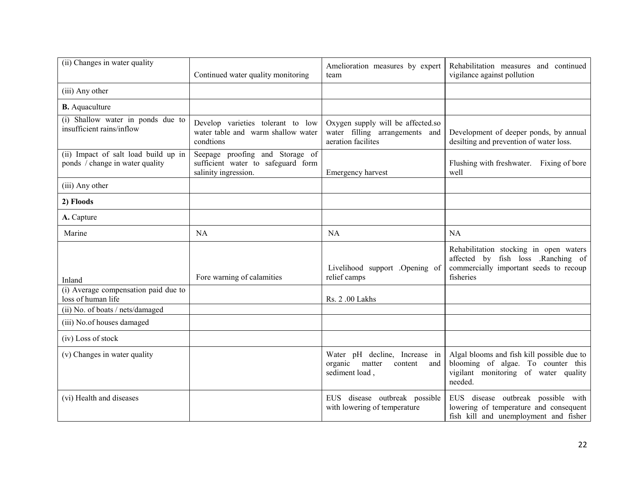| (ii) Changes in water quality                                           | Continued water quality monitoring                                                            | Amelioration measures by expert<br>team                                                   | Rehabilitation measures and continued<br>vigilance against pollution                                                                |
|-------------------------------------------------------------------------|-----------------------------------------------------------------------------------------------|-------------------------------------------------------------------------------------------|-------------------------------------------------------------------------------------------------------------------------------------|
| (iii) Any other                                                         |                                                                                               |                                                                                           |                                                                                                                                     |
| <b>B.</b> Aquaculture                                                   |                                                                                               |                                                                                           |                                                                                                                                     |
| (i) Shallow water in ponds due to<br>insufficient rains/inflow          | Develop varieties tolerant to low<br>water table and warm shallow water<br>condtions          | Oxygen supply will be affected.so<br>water filling arrangements and<br>aeration facilites | Development of deeper ponds, by annual<br>desilting and prevention of water loss.                                                   |
| (ii) Impact of salt load build up in<br>ponds / change in water quality | Seepage proofing and Storage of<br>sufficient water to safeguard form<br>salinity ingression. | Emergency harvest                                                                         | Flushing with freshwater. Fixing of bore<br>well                                                                                    |
| (iii) Any other                                                         |                                                                                               |                                                                                           |                                                                                                                                     |
| 2) Floods                                                               |                                                                                               |                                                                                           |                                                                                                                                     |
| A. Capture                                                              |                                                                                               |                                                                                           |                                                                                                                                     |
| Marine                                                                  | <b>NA</b>                                                                                     | <b>NA</b>                                                                                 | NA                                                                                                                                  |
| Inland                                                                  | Fore warning of calamities                                                                    | Livelihood support .Opening of<br>relief camps                                            | Rehabilitation stocking in open waters<br>affected by fish loss .Ranching of<br>commercially important seeds to recoup<br>fisheries |
| (i) Average compensation paid due to<br>loss of human life              |                                                                                               | Rs. 2.00 Lakhs                                                                            |                                                                                                                                     |
| (ii) No. of boats / nets/damaged                                        |                                                                                               |                                                                                           |                                                                                                                                     |
| (iii) No.of houses damaged                                              |                                                                                               |                                                                                           |                                                                                                                                     |
| (iv) Loss of stock                                                      |                                                                                               |                                                                                           |                                                                                                                                     |
| (v) Changes in water quality                                            |                                                                                               | Water pH decline, Increase in<br>organic<br>matter<br>and<br>content<br>sediment load,    | Algal blooms and fish kill possible due to<br>blooming of algae. To counter this<br>vigilant monitoring of water quality<br>needed. |
| (vi) Health and diseases                                                |                                                                                               | EUS disease outbreak possible<br>with lowering of temperature                             | EUS disease outbreak possible with<br>lowering of temperature and consequent<br>fish kill and unemployment and fisher               |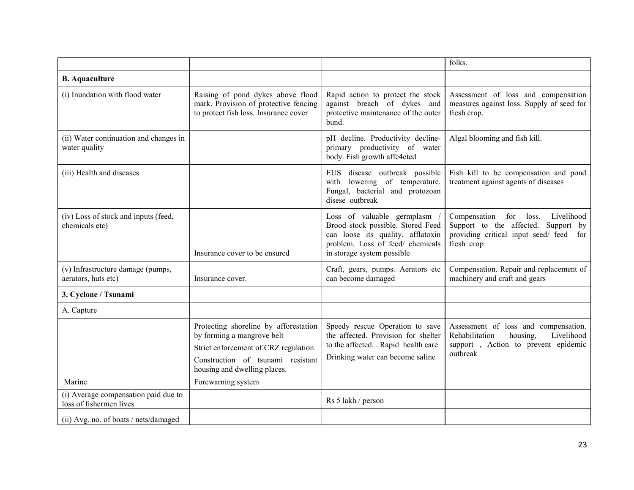|                                                          |                                                                                                                                                                                  |                                                                                                                                                                        | folks.                                                                                                                                        |
|----------------------------------------------------------|----------------------------------------------------------------------------------------------------------------------------------------------------------------------------------|------------------------------------------------------------------------------------------------------------------------------------------------------------------------|-----------------------------------------------------------------------------------------------------------------------------------------------|
| <b>B.</b> Aquaculture                                    |                                                                                                                                                                                  |                                                                                                                                                                        |                                                                                                                                               |
| (i) Inundation with flood water                          | Raising of pond dykes above flood<br>mark. Provision of protective fencing<br>to protect fish loss. Insurance cover                                                              | Rapid action to protect the stock<br>against breach of dykes and<br>protective maintenance of the outer<br>bund.                                                       | Assessment of loss and compensation<br>measures against loss. Supply of seed for<br>fresh crop.                                               |
| (ii) Water continuation and changes in<br>water quality  |                                                                                                                                                                                  | pH decline. Productivity decline-<br>primary productivity of water<br>body. Fish growth affe4cted                                                                      | Algal blooming and fish kill.                                                                                                                 |
| (iii) Health and diseases                                |                                                                                                                                                                                  | EUS disease outbreak possible<br>with lowering of temperature.<br>Fungal, bacterial and protozoan<br>disese outbreak                                                   | Fish kill to be compensation and pond<br>treatment against agents of diseases                                                                 |
| (iv) Loss of stock and inputs (feed,<br>chemicals etc)   | Insurance cover to be ensured                                                                                                                                                    | Loss of valuable germplasm<br>Brood stock possible. Stored Feed<br>can loose its quality, afflatoxin<br>problem. Loss of feed/ chemicals<br>in storage system possible | for loss.<br>Livelihood<br>Compensation<br>Support to the affected.<br>Support by<br>providing critical input seed/ feed<br>for<br>fresh crop |
| (v) Infrastructure damage (pumps,<br>aerators, huts etc) | Insurance cover.                                                                                                                                                                 | Craft, gears, pumps. Aerators etc<br>can become damaged                                                                                                                | Compensation. Repair and replacement of<br>machinery and craft and gears                                                                      |
| 3. Cyclone / Tsunami                                     |                                                                                                                                                                                  |                                                                                                                                                                        |                                                                                                                                               |
| A. Capture                                               |                                                                                                                                                                                  |                                                                                                                                                                        |                                                                                                                                               |
|                                                          | Protecting shoreline by afforestation<br>by forming a mangrove belt<br>Strict enforcement of CRZ regulation<br>Construction of tsunami resistant<br>housing and dwelling places. | Speedy rescue Operation to save<br>the affected. Provision for shelter<br>to the affected. . Rapid health care<br>Drinking water can become saline                     | Assessment of loss and compensation.<br>Livelihood<br>Rehabilitation<br>housing,<br>support, Action to prevent epidemic<br>outbreak           |
| Marine<br>(i) Average compensation paid due to           | Forewarning system                                                                                                                                                               |                                                                                                                                                                        |                                                                                                                                               |
| loss of fishermen lives                                  |                                                                                                                                                                                  | Rs 5 lakh / person                                                                                                                                                     |                                                                                                                                               |
| (ii) Avg. no. of boats / nets/damaged                    |                                                                                                                                                                                  |                                                                                                                                                                        |                                                                                                                                               |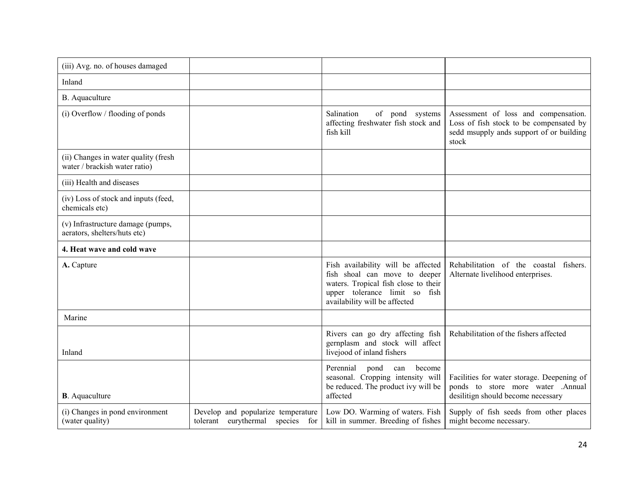| (iii) Avg. no. of houses damaged                                      |                                                                        |                                                                                                                                                                               |                                                                                                                                      |
|-----------------------------------------------------------------------|------------------------------------------------------------------------|-------------------------------------------------------------------------------------------------------------------------------------------------------------------------------|--------------------------------------------------------------------------------------------------------------------------------------|
| Inland                                                                |                                                                        |                                                                                                                                                                               |                                                                                                                                      |
| B. Aquaculture                                                        |                                                                        |                                                                                                                                                                               |                                                                                                                                      |
| (i) Overflow / flooding of ponds                                      |                                                                        | Salination<br>of pond systems<br>affecting freshwater fish stock and<br>fish kill                                                                                             | Assessment of loss and compensation.<br>Loss of fish stock to be compensated by<br>sedd msupply ands support of or building<br>stock |
| (ii) Changes in water quality (fresh<br>water / brackish water ratio) |                                                                        |                                                                                                                                                                               |                                                                                                                                      |
| (iii) Health and diseases                                             |                                                                        |                                                                                                                                                                               |                                                                                                                                      |
| (iv) Loss of stock and inputs (feed,<br>chemicals etc)                |                                                                        |                                                                                                                                                                               |                                                                                                                                      |
| (v) Infrastructure damage (pumps,<br>aerators, shelters/huts etc)     |                                                                        |                                                                                                                                                                               |                                                                                                                                      |
| 4. Heat wave and cold wave                                            |                                                                        |                                                                                                                                                                               |                                                                                                                                      |
| A. Capture                                                            |                                                                        | Fish availability will be affected<br>fish shoal can move to deeper<br>waters. Tropical fish close to their<br>upper tolerance limit so fish<br>availability will be affected | Rehabilitation of the coastal fishers.<br>Alternate livelihood enterprises.                                                          |
| Marine                                                                |                                                                        |                                                                                                                                                                               |                                                                                                                                      |
| Inland                                                                |                                                                        | Rivers can go dry affecting fish<br>gernplasm and stock will affect<br>livejood of inland fishers                                                                             | Rehabilitation of the fishers affected                                                                                               |
| <b>B</b> . Aquaculture                                                |                                                                        | Perennial<br>pond<br>become<br>can<br>seasonal. Cropping intensity will<br>be reduced. The product ivy will be<br>affected                                                    | Facilities for water storage. Deepening of<br>ponds to store more water .Annual<br>desilitign should become necessary                |
| (i) Changes in pond environment<br>(water quality)                    | Develop and popularize temperature<br>tolerant eurythermal species for | Low DO. Warming of waters. Fish<br>kill in summer. Breeding of fishes                                                                                                         | Supply of fish seeds from other places<br>might become necessary.                                                                    |